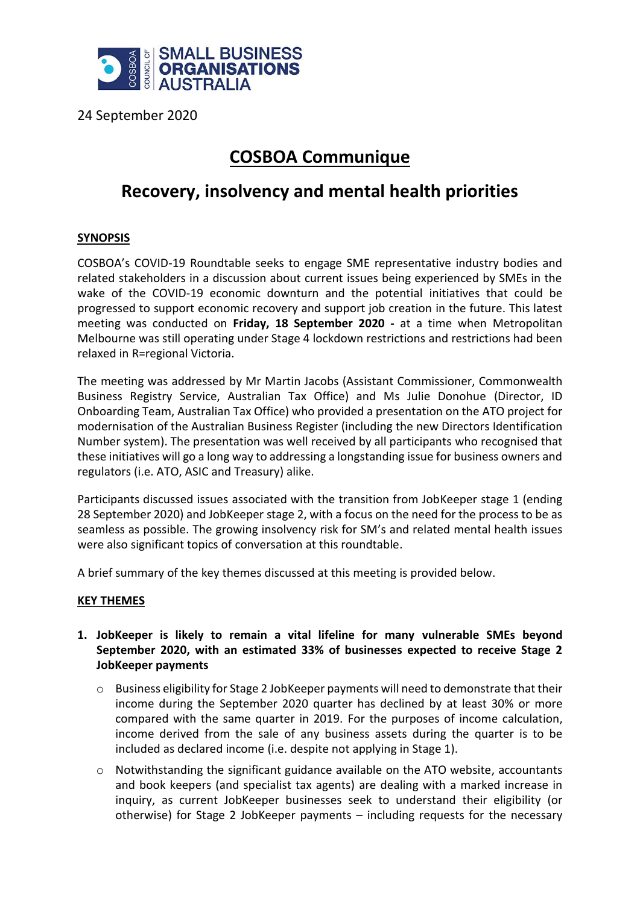

24 September 2020

# **COSBOA Communique**

## **Recovery, insolvency and mental health priorities**

## **SYNOPSIS**

COSBOA's COVID-19 Roundtable seeks to engage SME representative industry bodies and related stakeholders in a discussion about current issues being experienced by SMEs in the wake of the COVID-19 economic downturn and the potential initiatives that could be progressed to support economic recovery and support job creation in the future. This latest meeting was conducted on **Friday, 18 September 2020 -** at a time when Metropolitan Melbourne was still operating under Stage 4 lockdown restrictions and restrictions had been relaxed in R=regional Victoria.

The meeting was addressed by Mr Martin Jacobs (Assistant Commissioner, Commonwealth Business Registry Service, Australian Tax Office) and Ms Julie Donohue (Director, ID Onboarding Team, Australian Tax Office) who provided a presentation on the ATO project for modernisation of the Australian Business Register (including the new Directors Identification Number system). The presentation was well received by all participants who recognised that these initiatives will go a long way to addressing a longstanding issue for business owners and regulators (i.e. ATO, ASIC and Treasury) alike.

Participants discussed issues associated with the transition from JobKeeper stage 1 (ending 28 September 2020) and JobKeeper stage 2, with a focus on the need for the process to be as seamless as possible. The growing insolvency risk for SM's and related mental health issues were also significant topics of conversation at this roundtable.

A brief summary of the key themes discussed at this meeting is provided below.

#### **KEY THEMES**

- **1. JobKeeper is likely to remain a vital lifeline for many vulnerable SMEs beyond September 2020, with an estimated 33% of businesses expected to receive Stage 2 JobKeeper payments**
	- $\circ$  Business eligibility for Stage 2 JobKeeper payments will need to demonstrate that their income during the September 2020 quarter has declined by at least 30% or more compared with the same quarter in 2019. For the purposes of income calculation, income derived from the sale of any business assets during the quarter is to be included as declared income (i.e. despite not applying in Stage 1).
	- $\circ$  Notwithstanding the significant guidance available on the ATO website, accountants and book keepers (and specialist tax agents) are dealing with a marked increase in inquiry, as current JobKeeper businesses seek to understand their eligibility (or otherwise) for Stage 2 JobKeeper payments – including requests for the necessary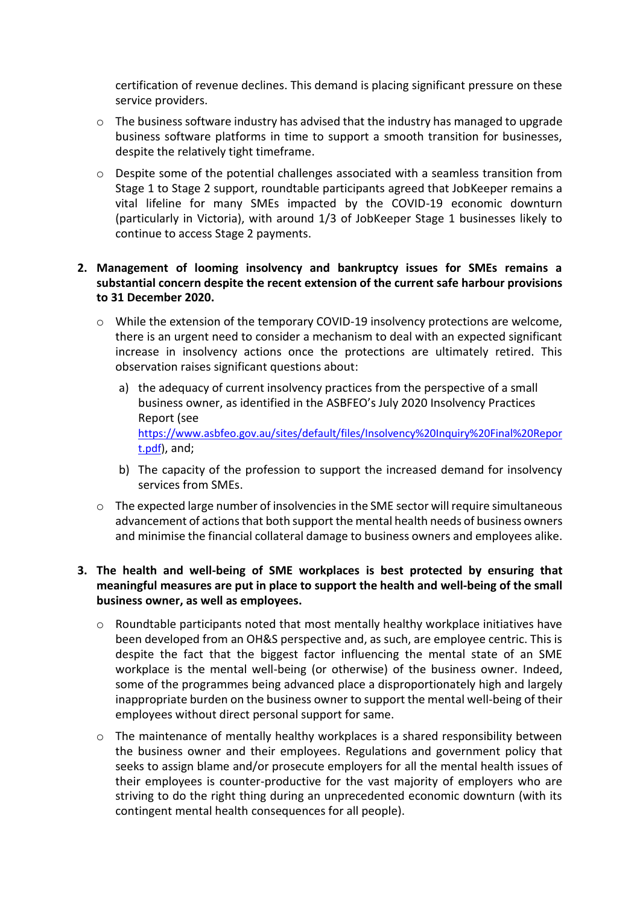certification of revenue declines. This demand is placing significant pressure on these service providers.

- o The business software industry has advised that the industry has managed to upgrade business software platforms in time to support a smooth transition for businesses, despite the relatively tight timeframe.
- o Despite some of the potential challenges associated with a seamless transition from Stage 1 to Stage 2 support, roundtable participants agreed that JobKeeper remains a vital lifeline for many SMEs impacted by the COVID-19 economic downturn (particularly in Victoria), with around 1/3 of JobKeeper Stage 1 businesses likely to continue to access Stage 2 payments.

## **2. Management of looming insolvency and bankruptcy issues for SMEs remains a substantial concern despite the recent extension of the current safe harbour provisions to 31 December 2020.**

- o While the extension of the temporary COVID-19 insolvency protections are welcome, there is an urgent need to consider a mechanism to deal with an expected significant increase in insolvency actions once the protections are ultimately retired. This observation raises significant questions about:
	- a) the adequacy of current insolvency practices from the perspective of a small business owner, as identified in the ASBFEO's July 2020 Insolvency Practices Report (see [https://www.asbfeo.gov.au/sites/default/files/Insolvency%20Inquiry%20Final%20Repor](https://www.asbfeo.gov.au/sites/default/files/Insolvency%20Inquiry%20Final%20Report.pdf) [t.pdf\)](https://www.asbfeo.gov.au/sites/default/files/Insolvency%20Inquiry%20Final%20Report.pdf), and;
	- b) The capacity of the profession to support the increased demand for insolvency services from SMEs.
- $\circ$  The expected large number of insolvencies in the SME sector will require simultaneous advancement of actions that both support the mental health needs of business owners and minimise the financial collateral damage to business owners and employees alike.

## **3. The health and well-being of SME workplaces is best protected by ensuring that meaningful measures are put in place to support the health and well-being of the small business owner, as well as employees.**

- o Roundtable participants noted that most mentally healthy workplace initiatives have been developed from an OH&S perspective and, as such, are employee centric. This is despite the fact that the biggest factor influencing the mental state of an SME workplace is the mental well-being (or otherwise) of the business owner. Indeed, some of the programmes being advanced place a disproportionately high and largely inappropriate burden on the business owner to support the mental well-being of their employees without direct personal support for same.
- $\circ$  The maintenance of mentally healthy workplaces is a shared responsibility between the business owner and their employees. Regulations and government policy that seeks to assign blame and/or prosecute employers for all the mental health issues of their employees is counter-productive for the vast majority of employers who are striving to do the right thing during an unprecedented economic downturn (with its contingent mental health consequences for all people).